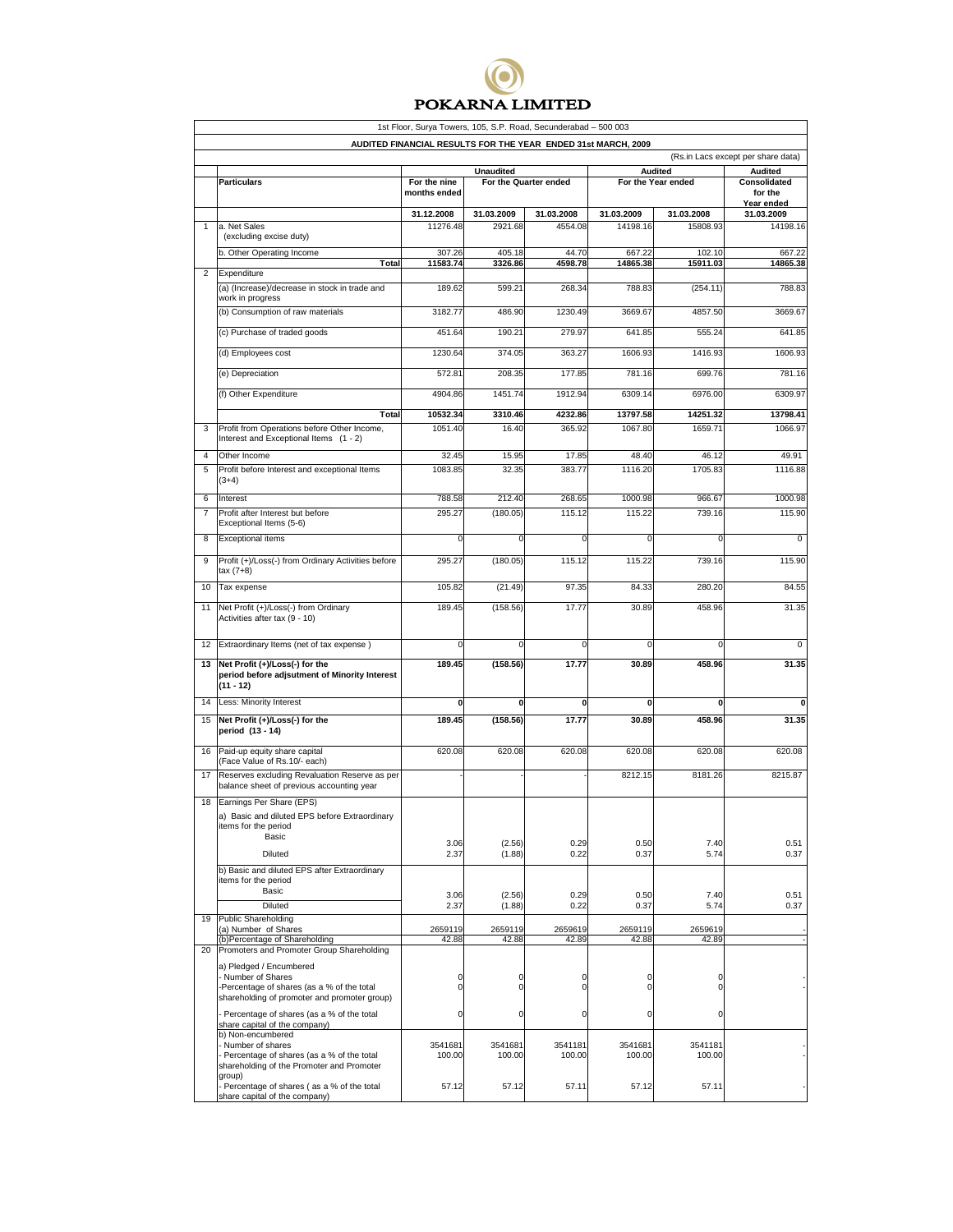| 1st Floor, Surya Towers, 105, S.P. Road, Secunderabad - 500 003<br>AUDITED FINANCIAL RESULTS FOR THE YEAR ENDED 31st MARCH, 2009 |                                                                                                                      |                              |                       |                   |                     |                     |                                    |  |  |  |
|----------------------------------------------------------------------------------------------------------------------------------|----------------------------------------------------------------------------------------------------------------------|------------------------------|-----------------------|-------------------|---------------------|---------------------|------------------------------------|--|--|--|
|                                                                                                                                  |                                                                                                                      |                              |                       |                   |                     |                     | (Rs.in Lacs except per share data) |  |  |  |
|                                                                                                                                  |                                                                                                                      |                              | <b>Unaudited</b>      |                   |                     | <b>Audited</b>      |                                    |  |  |  |
|                                                                                                                                  | <b>Particulars</b>                                                                                                   | For the nine<br>months ended | For the Quarter ended |                   |                     | For the Year ended  |                                    |  |  |  |
|                                                                                                                                  |                                                                                                                      | 31.12.2008                   | 31.03.2009            | 31.03.2008        | 31.03.2009          | 31.03.2008          | Year ended<br>31.03.2009           |  |  |  |
| 1                                                                                                                                | a. Net Sales<br>(excluding excise duty)                                                                              | 11276.48                     | 2921.68               | 4554.08           | 14198.16            | 15808.93            | 14198.16                           |  |  |  |
|                                                                                                                                  | b. Other Operating Income                                                                                            | 307.26                       | 405.18                | 44.70             | 667.22              | 102.10              | 667.22                             |  |  |  |
| 2                                                                                                                                | Total<br>Expenditure                                                                                                 | 11583.74                     | 3326.86               | 4598.78           | 14865.38            | 15911.03            | 14865.38                           |  |  |  |
|                                                                                                                                  | (a) (Increase)/decrease in stock in trade and<br>work in progress                                                    | 189.62                       | 599.21                | 268.34            | 788.83              | (254.11)            | 788.83                             |  |  |  |
|                                                                                                                                  | (b) Consumption of raw materials                                                                                     | 3182.77                      | 486.90                | 1230.49           | 3669.67             | 4857.50             | 3669.67                            |  |  |  |
|                                                                                                                                  | (c) Purchase of traded goods                                                                                         | 451.64                       | 190.21                | 279.97            | 641.85              | 555.24              | 641.85                             |  |  |  |
|                                                                                                                                  | (d) Employees cost                                                                                                   | 1230.64                      | 374.05                | 363.27            | 1606.93             | 1416.93             | 1606.93                            |  |  |  |
|                                                                                                                                  | (e) Depreciation                                                                                                     | 572.81                       | 208.35                | 177.85            | 781.16              | 699.76              | 781.16                             |  |  |  |
|                                                                                                                                  | (f) Other Expenditure                                                                                                | 4904.86                      | 1451.74               | 1912.94           | 6309.14             | 6976.00             | 6309.97                            |  |  |  |
|                                                                                                                                  |                                                                                                                      |                              |                       |                   |                     |                     |                                    |  |  |  |
| 3                                                                                                                                | Total<br>Profit from Operations before Other Income,<br>Interest and Exceptional Items (1 - 2)                       | 10532.34<br>1051.40          | 3310.46<br>16.40      | 4232.86<br>365.92 | 13797.58<br>1067.80 | 14251.32<br>1659.71 | 13798.41<br>1066.97                |  |  |  |
| $\overline{4}$                                                                                                                   | Other Income                                                                                                         | 32.45                        | 15.95                 | 17.85             | 48.40               | 46.12               | 49.91                              |  |  |  |
| 5                                                                                                                                | Profit before Interest and exceptional Items<br>$(3+4)$                                                              | 1083.85                      | 32.35                 | 383.77            | 1116.20             | 1705.83             | 1116.88                            |  |  |  |
| 6                                                                                                                                | Interest                                                                                                             | 788.58                       | 212.40                | 268.65            | 1000.98             | 966.67              | 1000.98                            |  |  |  |
| $\overline{7}$                                                                                                                   | Profit after Interest but before<br>Exceptional Items (5-6)                                                          | 295.27                       | (180.05)              | 115.12            | 115.22              | 739.16              | 115.90                             |  |  |  |
| 8                                                                                                                                | <b>Exceptional items</b>                                                                                             | 0                            | $\Omega$              | 0                 | $\mathbf 0$         | 0                   | $\overline{0}$                     |  |  |  |
| 9                                                                                                                                | Profit (+)/Loss(-) from Ordinary Activities before<br>$tax(7+8)$                                                     | 295.27                       | (180.05)              | 115.12            | 115.22              | 739.16              | 115.90                             |  |  |  |
| 10                                                                                                                               | Tax expense                                                                                                          | 105.82                       | (21.49)               | 97.35             | 84.33               | 280.20              | 84.55                              |  |  |  |
| 11                                                                                                                               | Net Profit (+)/Loss(-) from Ordinary<br>Activities after tax (9 - 10)                                                | 189.45                       | (158.56)              | 17.77             | 30.89               | 458.96              | 31.35                              |  |  |  |
| 12                                                                                                                               | Extraordinary Items (net of tax expense)                                                                             | 0                            | 0                     | 0                 | $\mathbf 0$         | 0                   | 0                                  |  |  |  |
|                                                                                                                                  | 13 Net Profit (+)/Loss(-) for the<br>period before adjsutment of Minority Interest<br>$(11 - 12)$                    | 189.45                       | (158.56)              | 17.77             | 30.89               | 458.96              | 31.35                              |  |  |  |
| 14                                                                                                                               | Less: Minority Interest                                                                                              | 0                            | 0                     | 0                 | 0                   | 0                   | 0                                  |  |  |  |
|                                                                                                                                  | 15 Net Profit (+)/Loss(-) for the<br>period (13 - 14)                                                                | 189.45                       | (158.56)              | 17.77             | 30.89               | 458.96              | 31.35                              |  |  |  |
| 16                                                                                                                               | Paid-up equity share capital<br>(Face Value of Rs.10/- each)                                                         | 620.08                       | 620.08                | 620.08            | 620.08              | 620.08              | 620.08                             |  |  |  |
| 17                                                                                                                               | Reserves excluding Revaluation Reserve as per<br>balance sheet of previous accounting year                           |                              |                       |                   | 8212.15             | 8181.26             | 8215.87                            |  |  |  |
| 18                                                                                                                               | Earnings Per Share (EPS)<br>a) Basic and diluted EPS before Extraordinary<br>items for the period<br>Basic           |                              |                       |                   |                     |                     |                                    |  |  |  |
|                                                                                                                                  | <b>Diluted</b>                                                                                                       | 3.06<br>2.37                 | (2.56)<br>(1.88)      | 0.29<br>0.22      | 0.50<br>0.37        | 7.40<br>5.74        | 0.51<br>0.37                       |  |  |  |
|                                                                                                                                  | b) Basic and diluted EPS after Extraordinary<br>items for the period<br>Basic                                        |                              |                       |                   |                     |                     |                                    |  |  |  |
|                                                                                                                                  | <b>Diluted</b>                                                                                                       | 3.06<br>2.37                 | (2.56)<br>(1.88)      | 0.29<br>0.22      | 0.50<br>0.37        | 7.40<br>5.74        | 0.51<br>0.37                       |  |  |  |
|                                                                                                                                  | 19 Public Shareholding                                                                                               |                              |                       |                   |                     |                     |                                    |  |  |  |
|                                                                                                                                  | (a) Number of Shares<br>(b)Percentage of Shareholding                                                                | 2659119<br>42.88             | 2659119<br>42.88      | 2659619<br>42.89  | 2659119<br>42.88    | 2659619<br>42.89    |                                    |  |  |  |
| 20                                                                                                                               | Promoters and Promoter Group Shareholding                                                                            |                              |                       |                   |                     |                     |                                    |  |  |  |
|                                                                                                                                  | a) Pledged / Encumbered<br>Number of Shares<br>Percentage of shares (as a % of the total                             | 0<br>0                       | 0<br>0                | 0<br>0            | 0<br>0              | 0<br>0              |                                    |  |  |  |
|                                                                                                                                  | shareholding of promoter and promoter group)<br>Percentage of shares (as a % of the total                            | 0                            | 0                     | 0                 | 0                   | 0                   |                                    |  |  |  |
|                                                                                                                                  | share capital of the company)<br>b) Non-encumbered                                                                   |                              |                       |                   |                     |                     |                                    |  |  |  |
|                                                                                                                                  | Number of shares<br>Percentage of shares (as a % of the total<br>shareholding of the Promoter and Promoter<br>group) | 3541681<br>100.00            | 3541681<br>100.00     | 3541181<br>100.00 | 3541681<br>100.00   | 3541181<br>100.00   |                                    |  |  |  |
|                                                                                                                                  | Percentage of shares (as a % of the total<br>share capital of the company)                                           | 57.12                        | 57.12                 | 57.11             | 57.12               | 57.11               |                                    |  |  |  |

## POKARNA LIMITED